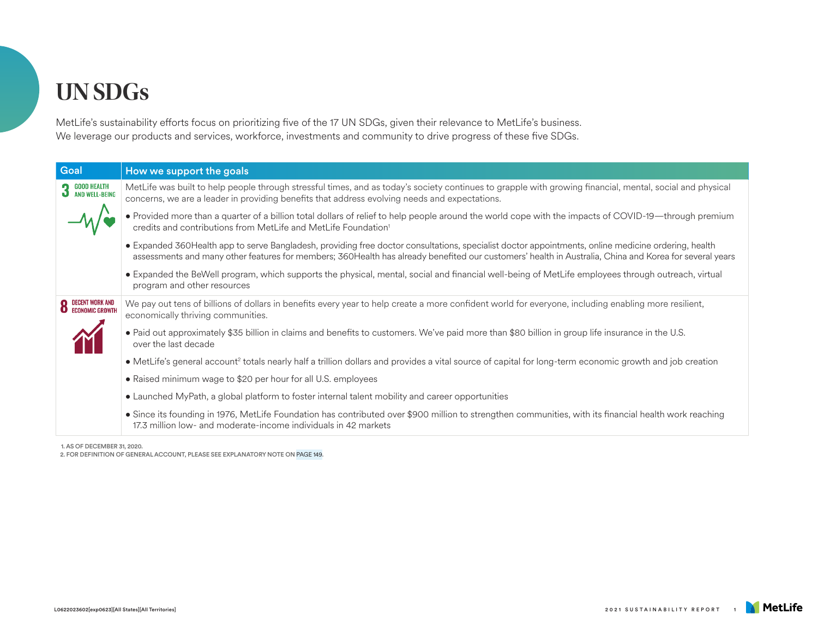## **UN SDGs**

MetLife's sustainability efforts focus on prioritizing five of the 17 UN SDGs, given their relevance to MetLife's business. We leverage our products and services, workforce, investments and community to drive progress of these five SDGs.

| Goal                                     | How we support the goals                                                                                                                                                                                                                                                                                      |
|------------------------------------------|---------------------------------------------------------------------------------------------------------------------------------------------------------------------------------------------------------------------------------------------------------------------------------------------------------------|
| GOOD HEALTH<br>AND WELL-BEING            | MetLife was built to help people through stressful times, and as today's society continues to grapple with growing financial, mental, social and physical<br>concerns, we are a leader in providing benefits that address evolving needs and expectations.                                                    |
|                                          | • Provided more than a quarter of a billion total dollars of relief to help people around the world cope with the impacts of COVID-19—through premium<br>credits and contributions from MetLife and MetLife Foundation <sup>1</sup>                                                                           |
|                                          | • Expanded 360Health app to serve Bangladesh, providing free doctor consultations, specialist doctor appointments, online medicine ordering, health<br>assessments and many other features for members; 360Health has already benefited our customers' health in Australia, China and Korea for several years |
|                                          | • Expanded the BeWell program, which supports the physical, mental, social and financial well-being of MetLife employees through outreach, virtual<br>program and other resources                                                                                                                             |
| <b>8</b> DECENT WORK AND ECONOMIC GROWTH | We pay out tens of billions of dollars in benefits every year to help create a more confident world for everyone, including enabling more resilient,<br>economically thriving communities.                                                                                                                    |
|                                          | • Paid out approximately \$35 billion in claims and benefits to customers. We've paid more than \$80 billion in group life insurance in the U.S.<br>over the last decade                                                                                                                                      |
|                                          | • MetLife's general account <sup>2</sup> totals nearly half a trillion dollars and provides a vital source of capital for long-term economic growth and job creation                                                                                                                                          |
|                                          | • Raised minimum wage to \$20 per hour for all U.S. employees                                                                                                                                                                                                                                                 |
|                                          | • Launched MyPath, a global platform to foster internal talent mobility and career opportunities                                                                                                                                                                                                              |
|                                          | • Since its founding in 1976, MetLife Foundation has contributed over \$900 million to strengthen communities, with its financial health work reaching<br>17.3 million low- and moderate-income individuals in 42 markets                                                                                     |
|                                          |                                                                                                                                                                                                                                                                                                               |

1. AS OF DECEMBER 31, 2020.

2. FOR DEFINITION OF GENERAL ACCOUNT, PLEASE SEE EXPLANATORY NOTE ON [PAGE 149](https://www.metlife.com/content/dam/metlifecom/us/sustainability/pdf/MET-006_01_SR-2021_v32_Explantory_Note.pdf).